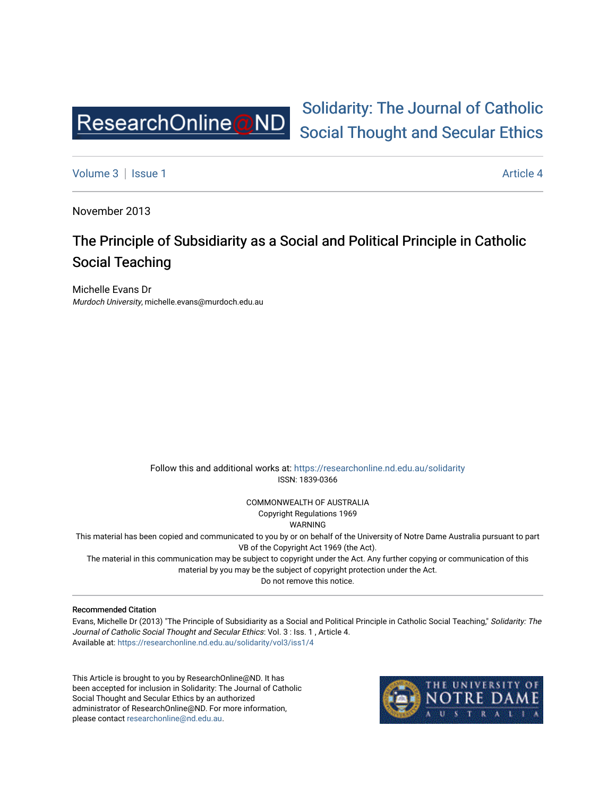

# [Solidarity: The Journal of Catholic](https://researchonline.nd.edu.au/solidarity)  [Social Thought and Secular Ethics](https://researchonline.nd.edu.au/solidarity)

[Volume 3](https://researchonline.nd.edu.au/solidarity/vol3) | [Issue 1](https://researchonline.nd.edu.au/solidarity/vol3/iss1) Article 4

November 2013

## The Principle of Subsidiarity as a Social and Political Principle in Catholic Social Teaching

Michelle Evans Dr Murdoch University, michelle.evans@murdoch.edu.au

> Follow this and additional works at: [https://researchonline.nd.edu.au/solidarity](https://researchonline.nd.edu.au/solidarity?utm_source=researchonline.nd.edu.au%2Fsolidarity%2Fvol3%2Fiss1%2F4&utm_medium=PDF&utm_campaign=PDFCoverPages)  ISSN: 1839-0366

> > COMMONWEALTH OF AUSTRALIA Copyright Regulations 1969

WARNING

This material has been copied and communicated to you by or on behalf of the University of Notre Dame Australia pursuant to part VB of the Copyright Act 1969 (the Act).

The material in this communication may be subject to copyright under the Act. Any further copying or communication of this material by you may be the subject of copyright protection under the Act.

Do not remove this notice.

#### Recommended Citation

Evans, Michelle Dr (2013) "The Principle of Subsidiarity as a Social and Political Principle in Catholic Social Teaching," Solidarity: The Journal of Catholic Social Thought and Secular Ethics: Vol. 3 : Iss. 1 , Article 4. Available at: [https://researchonline.nd.edu.au/solidarity/vol3/iss1/4](https://researchonline.nd.edu.au/solidarity/vol3/iss1/4?utm_source=researchonline.nd.edu.au%2Fsolidarity%2Fvol3%2Fiss1%2F4&utm_medium=PDF&utm_campaign=PDFCoverPages) 

This Article is brought to you by ResearchOnline@ND. It has been accepted for inclusion in Solidarity: The Journal of Catholic Social Thought and Secular Ethics by an authorized administrator of ResearchOnline@ND. For more information, please contact [researchonline@nd.edu.au.](mailto:researchonline@nd.edu.au)

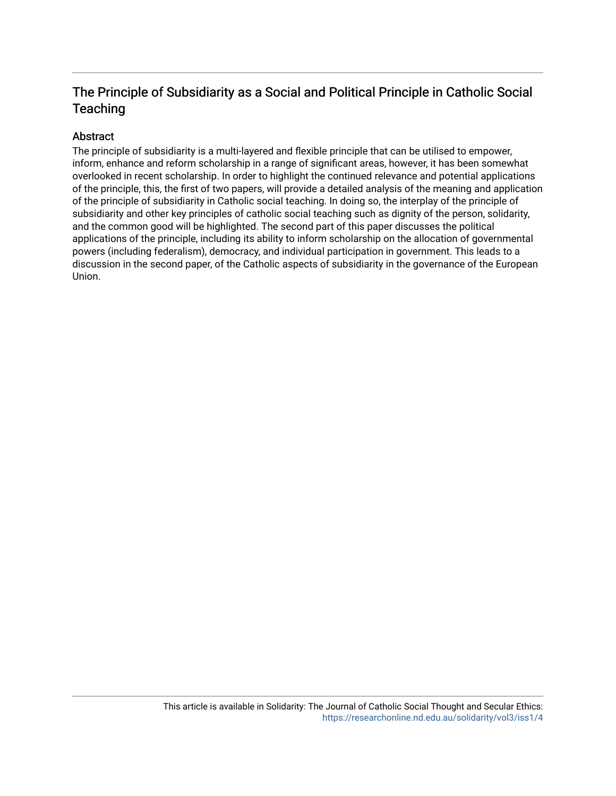## The Principle of Subsidiarity as a Social and Political Principle in Catholic Social **Teaching**

#### Abstract

The principle of subsidiarity is a multi-layered and flexible principle that can be utilised to empower, inform, enhance and reform scholarship in a range of significant areas, however, it has been somewhat overlooked in recent scholarship. In order to highlight the continued relevance and potential applications of the principle, this, the first of two papers, will provide a detailed analysis of the meaning and application of the principle of subsidiarity in Catholic social teaching. In doing so, the interplay of the principle of subsidiarity and other key principles of catholic social teaching such as dignity of the person, solidarity, and the common good will be highlighted. The second part of this paper discusses the political applications of the principle, including its ability to inform scholarship on the allocation of governmental powers (including federalism), democracy, and individual participation in government. This leads to a discussion in the second paper, of the Catholic aspects of subsidiarity in the governance of the European Union.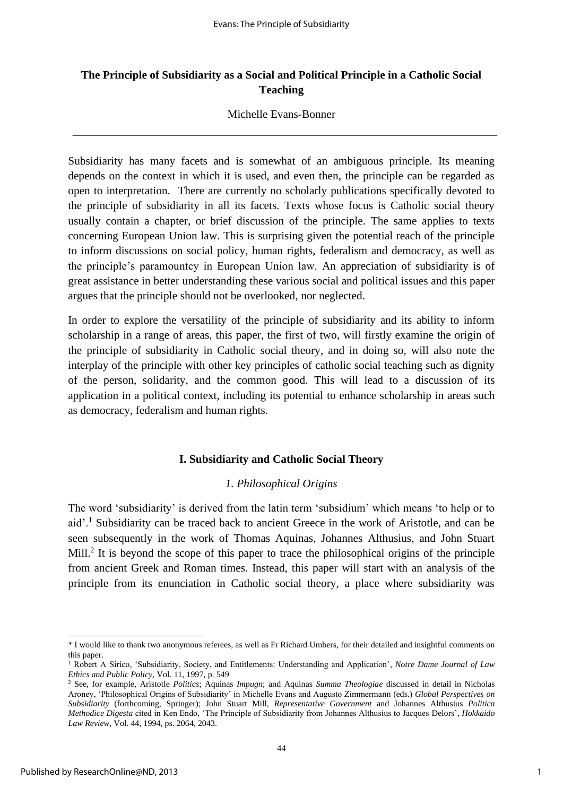## **The Principle of Subsidiarity as a Social and Political Principle in a Catholic Social Teaching**

#### Michelle Evans-Bonner

Subsidiarity has many facets and is somewhat of an ambiguous principle. Its meaning depends on the context in which it is used, and even then, the principle can be regarded as open to interpretation. There are currently no scholarly publications specifically devoted to the principle of subsidiarity in all its facets. Texts whose focus is Catholic social theory usually contain a chapter, or brief discussion of the principle. The same applies to texts concerning European Union law. This is surprising given the potential reach of the principle to inform discussions on social policy, human rights, federalism and democracy, as well as the principle's paramountcy in European Union law. An appreciation of subsidiarity is of great assistance in better understanding these various social and political issues and this paper argues that the principle should not be overlooked, nor neglected.

In order to explore the versatility of the principle of subsidiarity and its ability to inform scholarship in a range of areas, this paper, the first of two, will firstly examine the origin of the principle of subsidiarity in Catholic social theory, and in doing so, will also note the interplay of the principle with other key principles of catholic social teaching such as dignity of the person, solidarity, and the common good. This will lead to a discussion of its application in a political context, including its potential to enhance scholarship in areas such as democracy, federalism and human rights.

### **I. Subsidiarity and Catholic Social Theory**

### *1. Philosophical Origins*

The word 'subsidiarity' is derived from the latin term 'subsidium' which means 'to help or to aid'.<sup>1</sup> Subsidiarity can be traced back to ancient Greece in the work of Aristotle, and can be seen subsequently in the work of Thomas Aquinas, Johannes Althusius, and John Stuart Mill.<sup>2</sup> It is beyond the scope of this paper to trace the philosophical origins of the principle from ancient Greek and Roman times. Instead, this paper will start with an analysis of the principle from its enunciation in Catholic social theory, a place where subsidiarity was

<sup>\*</sup> I would like to thank two anonymous referees, as well as Fr Richard Umbers, for their detailed and insightful comments on this paper.

<sup>1</sup> Robert A Sirico, 'Subsidiarity, Society, and Entitlements: Understanding and Application', *Notre Dame Journal of Law Ethics and Public Policy,* Vol. 11, 1997, p. 549

<sup>2</sup> See, for example, Aristotle *Politics*; Aquinas *Impugn*; and Aquinas *Summa Theologiae* discussed in detail in Nicholas Aroney, 'Philosophical Origins of Subsidiarity' in Michelle Evans and Augusto Zimmermann (eds.) *Global Perspectives on Subsidiarity* (forthcoming, Springer); John Stuart Mill, *Representative Government* and Johannes Althusius *Politica Methodice Digesta* cited in Ken Endo, 'The Principle of Subsidiarity from Johannes Althusius to Jacques Delors', *Hokkaido Law Review*, Vol. 44, 1994, ps. 2064, 2043.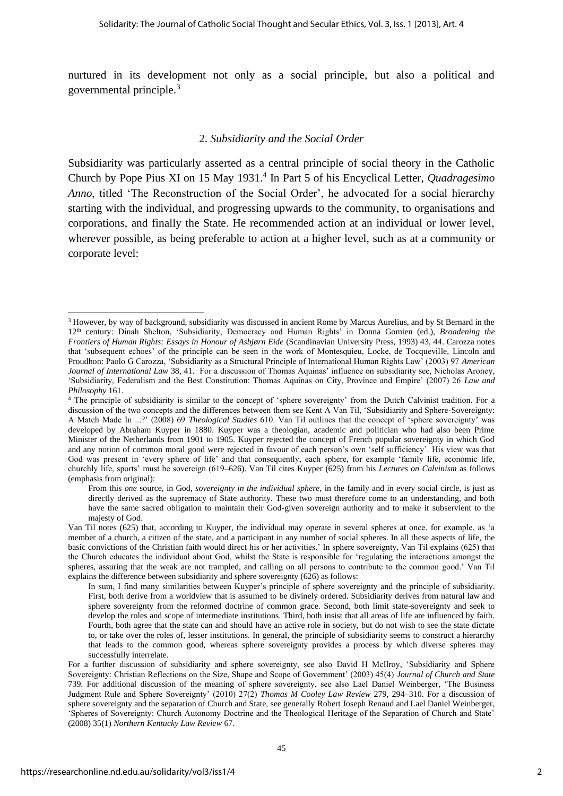nurtured in its development not only as a social principle, but also a political and governmental principle.<sup>3</sup>

#### 2. *Subsidiarity and the Social Order*

Subsidiarity was particularly asserted as a central principle of social theory in the Catholic Church by Pope Pius XI on 15 May 1931.<sup>4</sup> In Part 5 of his Encyclical Letter, *Quadragesimo Anno*, titled 'The Reconstruction of the Social Order', he advocated for a social hierarchy starting with the individual, and progressing upwards to the community, to organisations and corporations, and finally the State. He recommended action at an individual or lower level, wherever possible, as being preferable to action at a higher level, such as at a community or corporate level:

<sup>&</sup>lt;sup>3</sup> However, by way of background, subsidiarity was discussed in ancient Rome by Marcus Aurelius, and by St Bernard in the 12th century: Dinah Shelton, 'Subsidiarity, Democracy and Human Rights' in Donna Gomien (ed.), *Broadening the Frontiers of Human Rights: Essays in Honour of Asbjørn Eide* (Scandinavian University Press, 1993) 43, 44. Carozza notes that 'subsequent echoes' of the principle can be seen in the work of Montesquieu, Locke, de Tocqueville, Lincoln and Proudhon: Paolo G Carozza, 'Subsidiarity as a Structural Principle of International Human Rights Law' (2003) 97 *American Journal of International Law* 38, 41. For a discussion of Thomas Aquinas' influence on subsidiarity see, Nicholas Aroney, 'Subsidiarity, Federalism and the Best Constitution: Thomas Aquinas on City, Province and Empire' (2007) 26 *Law and Philosophy* 161.

<sup>4</sup> The principle of subsidiarity is similar to the concept of 'sphere sovereignty' from the Dutch Calvinist tradition. For a discussion of the two concepts and the differences between them see Kent A Van Til, 'Subsidiarity and Sphere-Sovereignty: A Match Made In ...?' (2008) 69 *Theological Studies* 610. Van Til outlines that the concept of 'sphere sovereignty' was developed by Abraham Kuyper in 1880. Kuyper was a theologian, academic and politician who had also been Prime Minister of the Netherlands from 1901 to 1905. Kuyper rejected the concept of French popular sovereignty in which God and any notion of common moral good were rejected in favour of each person's own 'self sufficiency'. His view was that God was present in 'every sphere of life' and that consequently, each sphere, for example 'family life, economic life, churchly life, sports' must be sovereign (619–626). Van Til cites Kuyper (625) from his *Lectures on Calvinism* as follows (emphasis from original):

From this *one* source, in God, *sovereignty in the individual sphere*, in the family and in every social circle, is just as directly derived as the supremacy of State authority. These two must therefore come to an understanding, and both have the same sacred obligation to maintain their God-given sovereign authority and to make it subservient to the majesty of God.

Van Til notes (625) that, according to Kuyper, the individual may operate in several spheres at once, for example, as 'a member of a church, a citizen of the state, and a participant in any number of social spheres. In all these aspects of life, the basic convictions of the Christian faith would direct his or her activities.' In sphere sovereignty, Van Til explains (625) that the Church educates the individual about God, whilst the State is responsible for 'regulating the interactions amongst the spheres, assuring that the weak are not trampled, and calling on all persons to contribute to the common good.' Van Til explains the difference between subsidiarity and sphere sovereignty (626) as follows:

In sum, I find many similarities between Kuyper's principle of sphere sovereignty and the principle of subsidiarity. First, both derive from a worldview that is assumed to be divinely ordered. Subsidiarity derives from natural law and sphere sovereignty from the reformed doctrine of common grace. Second, both limit state-sovereignty and seek to develop the roles and scope of intermediate institutions. Third, both insist that all areas of life are influenced by faith. Fourth, both agree that the state can and should have an active role in society, but do not wish to see the state dictate to, or take over the roles of, lesser institutions. In general, the principle of subsidiarity seems to construct a hierarchy that leads to the common good, whereas sphere sovereignty provides a process by which diverse spheres may successfully interrelate.

For a further discussion of subsidiarity and sphere sovereignty, see also David H McIlroy, 'Subsidiarity and Sphere Sovereignty: Christian Reflections on the Size, Shape and Scope of Government' (2003) 45(4) *Journal of Church and State* 739. For additional discussion of the meaning of sphere sovereignty, see also Lael Daniel Weinberger, 'The Business Judgment Rule and Sphere Sovereignty' (2010) 27(2) *Thomas M Cooley Law Review* 279, 294–310. For a discussion of sphere sovereignty and the separation of Church and State, see generally Robert Joseph Renaud and Lael Daniel Weinberger, 'Spheres of Sovereignty: Church Autonomy Doctrine and the Theological Heritage of the Separation of Church and State' (2008) 35(1) *Northern Kentucky Law Review* 67.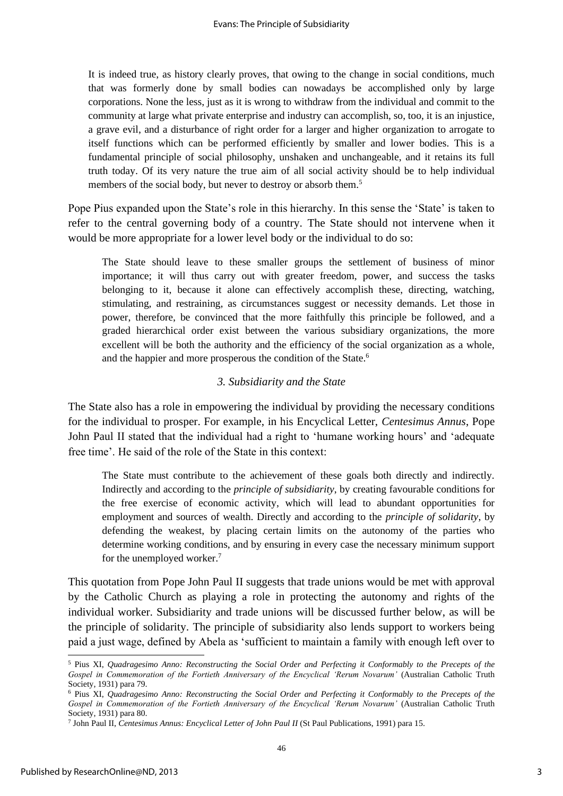It is indeed true, as history clearly proves, that owing to the change in social conditions, much that was formerly done by small bodies can nowadays be accomplished only by large corporations. None the less, just as it is wrong to withdraw from the individual and commit to the community at large what private enterprise and industry can accomplish, so, too, it is an injustice, a grave evil, and a disturbance of right order for a larger and higher organization to arrogate to itself functions which can be performed efficiently by smaller and lower bodies. This is a fundamental principle of social philosophy, unshaken and unchangeable, and it retains its full truth today. Of its very nature the true aim of all social activity should be to help individual members of the social body, but never to destroy or absorb them.<sup>5</sup>

Pope Pius expanded upon the State's role in this hierarchy. In this sense the 'State' is taken to refer to the central governing body of a country. The State should not intervene when it would be more appropriate for a lower level body or the individual to do so:

The State should leave to these smaller groups the settlement of business of minor importance; it will thus carry out with greater freedom, power, and success the tasks belonging to it, because it alone can effectively accomplish these, directing, watching, stimulating, and restraining, as circumstances suggest or necessity demands. Let those in power, therefore, be convinced that the more faithfully this principle be followed, and a graded hierarchical order exist between the various subsidiary organizations, the more excellent will be both the authority and the efficiency of the social organization as a whole, and the happier and more prosperous the condition of the State.<sup>6</sup>

#### *3. Subsidiarity and the State*

The State also has a role in empowering the individual by providing the necessary conditions for the individual to prosper. For example, in his Encyclical Letter, *Centesimus Annus*, Pope John Paul II stated that the individual had a right to 'humane working hours' and 'adequate free time'. He said of the role of the State in this context:

The State must contribute to the achievement of these goals both directly and indirectly. Indirectly and according to the *principle of subsidiarity*, by creating favourable conditions for the free exercise of economic activity, which will lead to abundant opportunities for employment and sources of wealth. Directly and according to the *principle of solidarity*, by defending the weakest, by placing certain limits on the autonomy of the parties who determine working conditions, and by ensuring in every case the necessary minimum support for the unemployed worker.<sup>7</sup>

This quotation from Pope John Paul II suggests that trade unions would be met with approval by the Catholic Church as playing a role in protecting the autonomy and rights of the individual worker. Subsidiarity and trade unions will be discussed further below, as will be the principle of solidarity. The principle of subsidiarity also lends support to workers being paid a just wage, defined by Abela as 'sufficient to maintain a family with enough left over to

<sup>5</sup> Pius XI, *Quadragesimo Anno: Reconstructing the Social Order and Perfecting it Conformably to the Precepts of the Gospel in Commemoration of the Fortieth Anniversary of the Encyclical 'Rerum Novarum'* (Australian Catholic Truth Society, 1931) para 79.

<sup>6</sup> Pius XI, *Quadragesimo Anno: Reconstructing the Social Order and Perfecting it Conformably to the Precepts of the Gospel in Commemoration of the Fortieth Anniversary of the Encyclical 'Rerum Novarum'* (Australian Catholic Truth Society, 1931) para 80.

<sup>7</sup> John Paul II, *Centesimus Annus: Encyclical Letter of John Paul II* (St Paul Publications, 1991) para 15.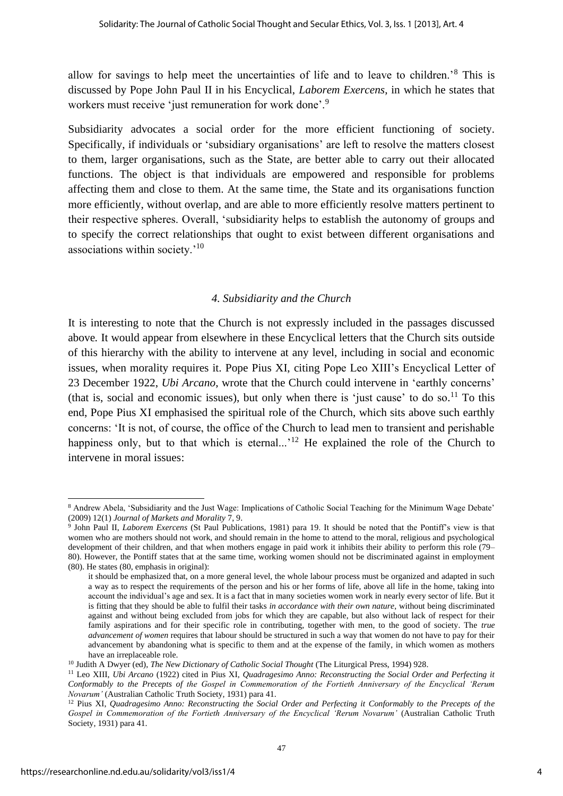allow for savings to help meet the uncertainties of life and to leave to children.'<sup>8</sup> This is discussed by Pope John Paul II in his Encyclical, *Laborem Exercens*, in which he states that workers must receive 'just remuneration for work done'.<sup>9</sup>

Subsidiarity advocates a social order for the more efficient functioning of society. Specifically, if individuals or 'subsidiary organisations' are left to resolve the matters closest to them, larger organisations, such as the State, are better able to carry out their allocated functions. The object is that individuals are empowered and responsible for problems affecting them and close to them. At the same time, the State and its organisations function more efficiently, without overlap, and are able to more efficiently resolve matters pertinent to their respective spheres. Overall, 'subsidiarity helps to establish the autonomy of groups and to specify the correct relationships that ought to exist between different organisations and associations within society.'<sup>10</sup>

#### *4. Subsidiarity and the Church*

It is interesting to note that the Church is not expressly included in the passages discussed above*.* It would appear from elsewhere in these Encyclical letters that the Church sits outside of this hierarchy with the ability to intervene at any level, including in social and economic issues, when morality requires it. Pope Pius XI, citing Pope Leo XIII's Encyclical Letter of 23 December 1922, *Ubi Arcano*, wrote that the Church could intervene in 'earthly concerns' (that is, social and economic issues), but only when there is 'just cause' to do so.<sup>11</sup> To this end, Pope Pius XI emphasised the spiritual role of the Church, which sits above such earthly concerns: 'It is not, of course, the office of the Church to lead men to transient and perishable happiness only, but to that which is eternal...<sup>'12</sup> He explained the role of the Church to intervene in moral issues:

<sup>8</sup> Andrew Abela, 'Subsidiarity and the Just Wage: Implications of Catholic Social Teaching for the Minimum Wage Debate' (2009) 12(1) *Journal of Markets and Morality* 7, 9.

<sup>9</sup> John Paul II, *Laborem Exercens* (St Paul Publications, 1981) para 19. It should be noted that the Pontiff's view is that women who are mothers should not work, and should remain in the home to attend to the moral, religious and psychological development of their children, and that when mothers engage in paid work it inhibits their ability to perform this role (79– 80). However, the Pontiff states that at the same time, working women should not be discriminated against in employment (80). He states (80, emphasis in original):

it should be emphasized that, on a more general level, the whole labour process must be organized and adapted in such a way as to respect the requirements of the person and his or her forms of life, above all life in the home, taking into account the individual's age and sex. It is a fact that in many societies women work in nearly every sector of life. But it is fitting that they should be able to fulfil their tasks *in accordance with their own nature*, without being discriminated against and without being excluded from jobs for which they are capable, but also without lack of respect for their family aspirations and for their specific role in contributing, together with men, to the good of society. The *true advancement of women* requires that labour should be structured in such a way that women do not have to pay for their advancement by abandoning what is specific to them and at the expense of the family, in which women as mothers have an irreplaceable role.

<sup>10</sup> Judith A Dwyer (ed), *The New Dictionary of Catholic Social Thought* (The Liturgical Press, 1994) 928.

<sup>11</sup> Leo XIII, *Ubi Arcano* (1922) cited in Pius XI, *Quadragesimo Anno: Reconstructing the Social Order and Perfecting it Conformably to the Precepts of the Gospel in Commemoration of the Fortieth Anniversary of the Encyclical 'Rerum Novarum'* (Australian Catholic Truth Society, 1931) para 41.

<sup>12</sup> Pius XI, *Quadragesimo Anno: Reconstructing the Social Order and Perfecting it Conformably to the Precepts of the Gospel in Commemoration of the Fortieth Anniversary of the Encyclical 'Rerum Novarum'* (Australian Catholic Truth Society, 1931) para 41.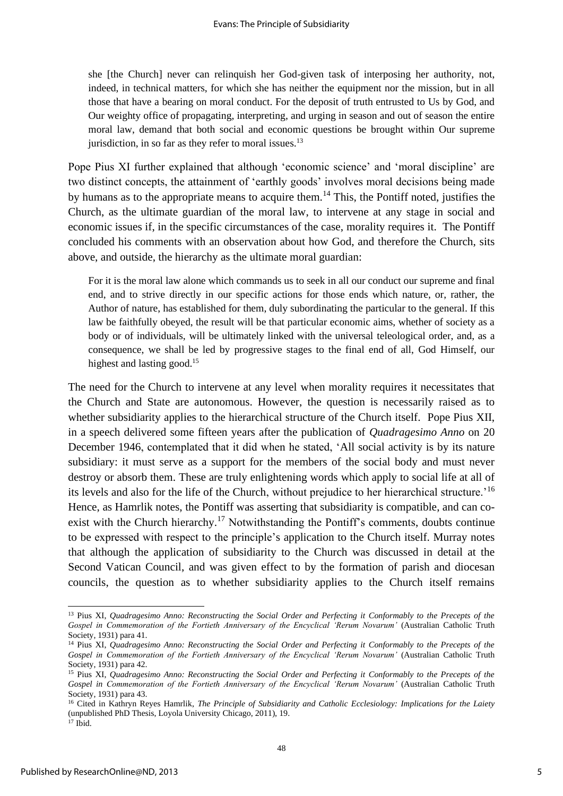she [the Church] never can relinquish her God-given task of interposing her authority, not, indeed, in technical matters, for which she has neither the equipment nor the mission, but in all those that have a bearing on moral conduct. For the deposit of truth entrusted to Us by God, and Our weighty office of propagating, interpreting, and urging in season and out of season the entire moral law, demand that both social and economic questions be brought within Our supreme jurisdiction, in so far as they refer to moral issues. $^{13}$ 

Pope Pius XI further explained that although 'economic science' and 'moral discipline' are two distinct concepts, the attainment of 'earthly goods' involves moral decisions being made by humans as to the appropriate means to acquire them.<sup>14</sup> This, the Pontiff noted, justifies the Church, as the ultimate guardian of the moral law, to intervene at any stage in social and economic issues if, in the specific circumstances of the case, morality requires it. The Pontiff concluded his comments with an observation about how God, and therefore the Church, sits above, and outside, the hierarchy as the ultimate moral guardian:

For it is the moral law alone which commands us to seek in all our conduct our supreme and final end, and to strive directly in our specific actions for those ends which nature, or, rather, the Author of nature, has established for them, duly subordinating the particular to the general. If this law be faithfully obeyed, the result will be that particular economic aims, whether of society as a body or of individuals, will be ultimately linked with the universal teleological order, and, as a consequence, we shall be led by progressive stages to the final end of all, God Himself, our highest and lasting good.<sup>15</sup>

The need for the Church to intervene at any level when morality requires it necessitates that the Church and State are autonomous. However, the question is necessarily raised as to whether subsidiarity applies to the hierarchical structure of the Church itself. Pope Pius XII, in a speech delivered some fifteen years after the publication of *Quadragesimo Anno* on 20 December 1946, contemplated that it did when he stated, 'All social activity is by its nature subsidiary: it must serve as a support for the members of the social body and must never destroy or absorb them. These are truly enlightening words which apply to social life at all of its levels and also for the life of the Church, without prejudice to her hierarchical structure.'<sup>16</sup> Hence, as Hamrlik notes, the Pontiff was asserting that subsidiarity is compatible, and can coexist with the Church hierarchy.<sup>17</sup> Notwithstanding the Pontiff's comments, doubts continue to be expressed with respect to the principle's application to the Church itself. Murray notes that although the application of subsidiarity to the Church was discussed in detail at the Second Vatican Council, and was given effect to by the formation of parish and diocesan councils, the question as to whether subsidiarity applies to the Church itself remains

<sup>13</sup> Pius XI, *Quadragesimo Anno: Reconstructing the Social Order and Perfecting it Conformably to the Precepts of the Gospel in Commemoration of the Fortieth Anniversary of the Encyclical 'Rerum Novarum'* (Australian Catholic Truth Society, 1931) para 41.

<sup>14</sup> Pius XI, *Quadragesimo Anno: Reconstructing the Social Order and Perfecting it Conformably to the Precepts of the Gospel in Commemoration of the Fortieth Anniversary of the Encyclical 'Rerum Novarum'* (Australian Catholic Truth Society, 1931) para 42.

<sup>15</sup> Pius XI, *Quadragesimo Anno: Reconstructing the Social Order and Perfecting it Conformably to the Precepts of the Gospel in Commemoration of the Fortieth Anniversary of the Encyclical 'Rerum Novarum'* (Australian Catholic Truth Society, 1931) para 43.

<sup>16</sup> Cited in Kathryn Reyes Hamrlik, *The Principle of Subsidiarity and Catholic Ecclesiology: Implications for the Laiety*  (unpublished PhD Thesis, Loyola University Chicago, 2011), 19.

 $^{17}$  Ibid.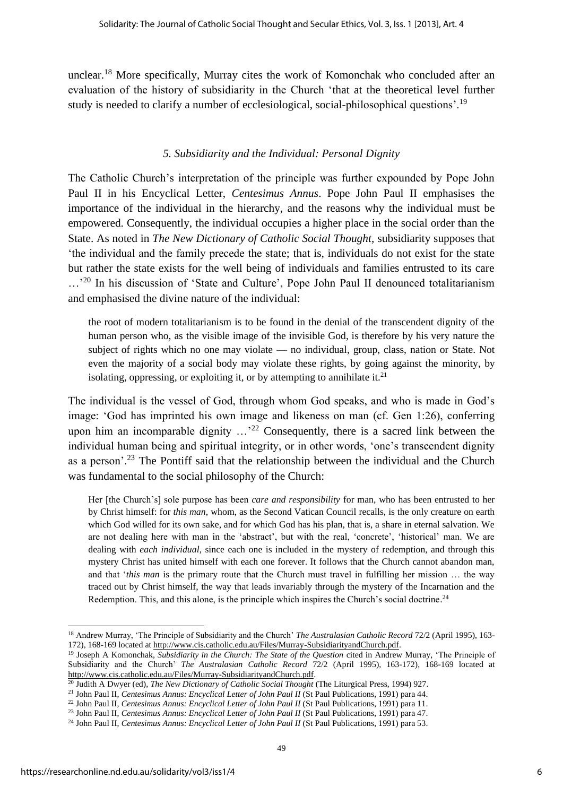unclear.<sup>18</sup> More specifically, Murray cites the work of Komonchak who concluded after an evaluation of the history of subsidiarity in the Church 'that at the theoretical level further study is needed to clarify a number of ecclesiological, social-philosophical questions'.<sup>19</sup>

#### *5. Subsidiarity and the Individual: Personal Dignity*

The Catholic Church's interpretation of the principle was further expounded by Pope John Paul II in his Encyclical Letter, *Centesimus Annus*. Pope John Paul II emphasises the importance of the individual in the hierarchy, and the reasons why the individual must be empowered. Consequently, the individual occupies a higher place in the social order than the State. As noted in *The New Dictionary of Catholic Social Thought,* subsidiarity supposes that 'the individual and the family precede the state; that is, individuals do not exist for the state but rather the state exists for the well being of individuals and families entrusted to its care ...<sup>'20</sup> In his discussion of 'State and Culture', Pope John Paul II denounced totalitarianism and emphasised the divine nature of the individual:

the root of modern totalitarianism is to be found in the denial of the transcendent dignity of the human person who, as the visible image of the invisible God, is therefore by his very nature the subject of rights which no one may violate — no individual, group, class, nation or State. Not even the majority of a social body may violate these rights, by going against the minority, by isolating, oppressing, or exploiting it, or by attempting to annihilate it.<sup>21</sup>

The individual is the vessel of God, through whom God speaks, and who is made in God's image: 'God has imprinted his own image and likeness on man (cf. Gen 1:26), conferring upon him an incomparable dignity  $\ldots$ <sup>22</sup> Consequently, there is a sacred link between the individual human being and spiritual integrity, or in other words, 'one's transcendent dignity as a person'.<sup>23</sup> The Pontiff said that the relationship between the individual and the Church was fundamental to the social philosophy of the Church:

Her [the Church's] sole purpose has been *care and responsibility* for man, who has been entrusted to her by Christ himself: for *this man*, whom, as the Second Vatican Council recalls, is the only creature on earth which God willed for its own sake, and for which God has his plan, that is, a share in eternal salvation. We are not dealing here with man in the 'abstract', but with the real, 'concrete', 'historical' man. We are dealing with *each individual*, since each one is included in the mystery of redemption, and through this mystery Christ has united himself with each one forever. It follows that the Church cannot abandon man, and that '*this man* is the primary route that the Church must travel in fulfilling her mission … the way traced out by Christ himself, the way that leads invariably through the mystery of the Incarnation and the Redemption. This, and this alone, is the principle which inspires the Church's social doctrine.<sup>24</sup>

<sup>18</sup> Andrew Murray, 'The Principle of Subsidiarity and the Church' *The Australasian Catholic Record* 72/2 (April 1995), 163- 172), 168-169 located a[t http://www.cis.catholic.edu.au/Files/Murray-SubsidiarityandChurch.pdf.](http://www.cis.catholic.edu.au/Files/Murray-SubsidiarityandChurch.pdf)

<sup>&</sup>lt;sup>19</sup> Joseph A Komonchak, *Subsidiarity in the Church: The State of the Question* cited in Andrew Murray, 'The Principle of Subsidiarity and the Church' *The Australasian Catholic Record* 72/2 (April 1995), 163-172), 168-169 located at [http://www.cis.catholic.edu.au/Files/Murray-SubsidiarityandChurch.pdf.](http://www.cis.catholic.edu.au/Files/Murray-SubsidiarityandChurch.pdf)

<sup>20</sup> Judith A Dwyer (ed), *The New Dictionary of Catholic Social Thought* (The Liturgical Press, 1994) 927.

<sup>&</sup>lt;sup>21</sup> John Paul II, *Centesimus Annus: Encyclical Letter of John Paul II* (St Paul Publications, 1991) para 44.

<sup>22</sup> John Paul II, *Centesimus Annus: Encyclical Letter of John Paul II* (St Paul Publications, 1991) para 11.

<sup>23</sup> John Paul II, *Centesimus Annus: Encyclical Letter of John Paul II* (St Paul Publications, 1991) para 47.

<sup>&</sup>lt;sup>24</sup> John Paul II, *Centesimus Annus: Encyclical Letter of John Paul II* (St Paul Publications, 1991) para 53.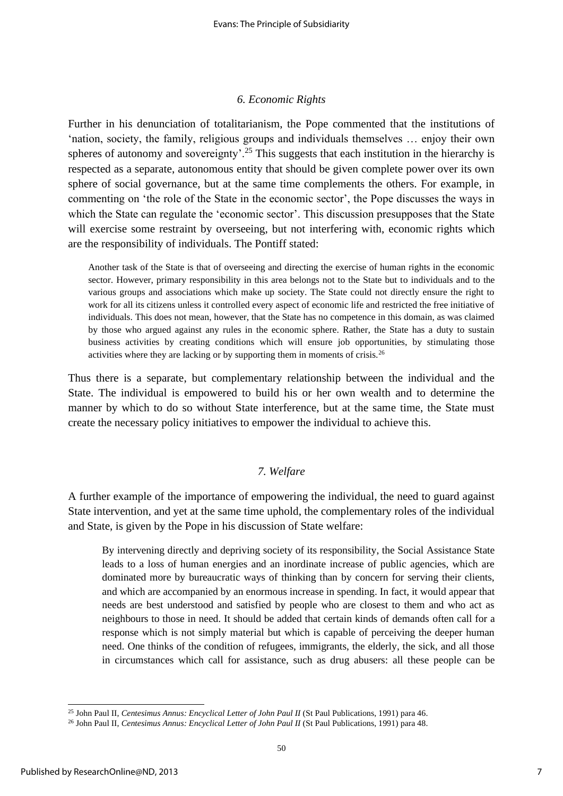#### *6. Economic Rights*

Further in his denunciation of totalitarianism, the Pope commented that the institutions of 'nation, society, the family, religious groups and individuals themselves … enjoy their own spheres of autonomy and sovereignty'.<sup>25</sup> This suggests that each institution in the hierarchy is respected as a separate, autonomous entity that should be given complete power over its own sphere of social governance, but at the same time complements the others. For example, in commenting on 'the role of the State in the economic sector', the Pope discusses the ways in which the State can regulate the 'economic sector'. This discussion presupposes that the State will exercise some restraint by overseeing, but not interfering with, economic rights which are the responsibility of individuals. The Pontiff stated:

Another task of the State is that of overseeing and directing the exercise of human rights in the economic sector. However, primary responsibility in this area belongs not to the State but to individuals and to the various groups and associations which make up society. The State could not directly ensure the right to work for all its citizens unless it controlled every aspect of economic life and restricted the free initiative of individuals. This does not mean, however, that the State has no competence in this domain, as was claimed by those who argued against any rules in the economic sphere. Rather, the State has a duty to sustain business activities by creating conditions which will ensure job opportunities, by stimulating those activities where they are lacking or by supporting them in moments of crisis.<sup>26</sup>

Thus there is a separate, but complementary relationship between the individual and the State. The individual is empowered to build his or her own wealth and to determine the manner by which to do so without State interference, but at the same time, the State must create the necessary policy initiatives to empower the individual to achieve this.

#### *7. Welfare*

A further example of the importance of empowering the individual, the need to guard against State intervention, and yet at the same time uphold, the complementary roles of the individual and State, is given by the Pope in his discussion of State welfare:

By intervening directly and depriving society of its responsibility, the Social Assistance State leads to a loss of human energies and an inordinate increase of public agencies, which are dominated more by bureaucratic ways of thinking than by concern for serving their clients, and which are accompanied by an enormous increase in spending. In fact, it would appear that needs are best understood and satisfied by people who are closest to them and who act as neighbours to those in need. It should be added that certain kinds of demands often call for a response which is not simply material but which is capable of perceiving the deeper human need. One thinks of the condition of refugees, immigrants, the elderly, the sick, and all those in circumstances which call for assistance, such as drug abusers: all these people can be

<sup>25</sup> John Paul II, *Centesimus Annus: Encyclical Letter of John Paul II* (St Paul Publications, 1991) para 46.

<sup>&</sup>lt;sup>26</sup> John Paul II, *Centesimus Annus: Encyclical Letter of John Paul II* (St Paul Publications, 1991) para 48.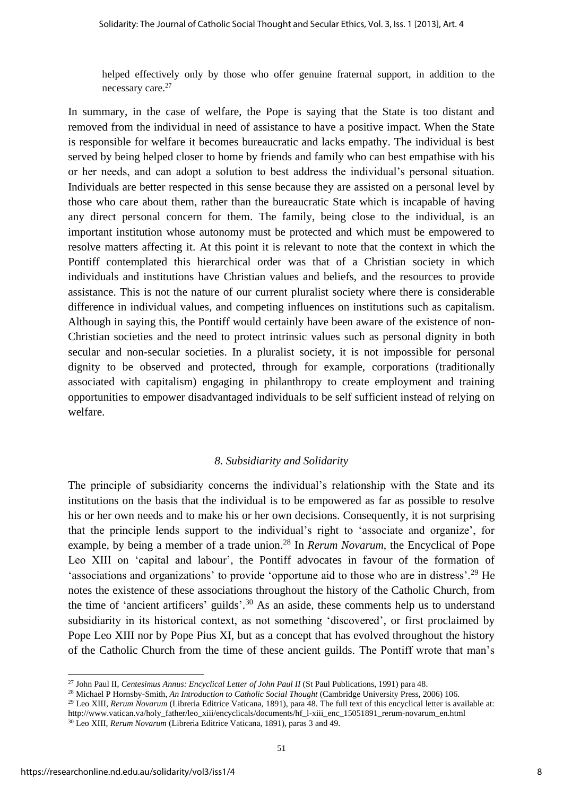helped effectively only by those who offer genuine fraternal support, in addition to the necessary care.<sup>27</sup>

In summary, in the case of welfare, the Pope is saying that the State is too distant and removed from the individual in need of assistance to have a positive impact. When the State is responsible for welfare it becomes bureaucratic and lacks empathy. The individual is best served by being helped closer to home by friends and family who can best empathise with his or her needs, and can adopt a solution to best address the individual's personal situation. Individuals are better respected in this sense because they are assisted on a personal level by those who care about them, rather than the bureaucratic State which is incapable of having any direct personal concern for them. The family, being close to the individual, is an important institution whose autonomy must be protected and which must be empowered to resolve matters affecting it. At this point it is relevant to note that the context in which the Pontiff contemplated this hierarchical order was that of a Christian society in which individuals and institutions have Christian values and beliefs, and the resources to provide assistance. This is not the nature of our current pluralist society where there is considerable difference in individual values, and competing influences on institutions such as capitalism. Although in saying this, the Pontiff would certainly have been aware of the existence of non-Christian societies and the need to protect intrinsic values such as personal dignity in both secular and non-secular societies. In a pluralist society, it is not impossible for personal dignity to be observed and protected, through for example, corporations (traditionally associated with capitalism) engaging in philanthropy to create employment and training opportunities to empower disadvantaged individuals to be self sufficient instead of relying on welfare.

#### *8. Subsidiarity and Solidarity*

The principle of subsidiarity concerns the individual's relationship with the State and its institutions on the basis that the individual is to be empowered as far as possible to resolve his or her own needs and to make his or her own decisions. Consequently, it is not surprising that the principle lends support to the individual's right to 'associate and organize', for example, by being a member of a trade union.<sup>28</sup> In *Rerum Novarum*, the Encyclical of Pope Leo XIII on 'capital and labour', the Pontiff advocates in favour of the formation of 'associations and organizations' to provide 'opportune aid to those who are in distress'.<sup>29</sup> He notes the existence of these associations throughout the history of the Catholic Church, from the time of 'ancient artificers' guilds'.<sup>30</sup> As an aside, these comments help us to understand subsidiarity in its historical context, as not something 'discovered', or first proclaimed by Pope Leo XIII nor by Pope Pius XI, but as a concept that has evolved throughout the history of the Catholic Church from the time of these ancient guilds. The Pontiff wrote that man's

<sup>29</sup> Leo XIII, *Rerum Novarum* (Libreria Editrice Vaticana, 1891), para 48. The full text of this encyclical letter is available at: http://www.vatican.va/holy\_father/leo\_xiii/encyclicals/documents/hf\_l-xiii\_enc\_15051891\_rerum-novarum\_en.html

<sup>&</sup>lt;sup>27</sup> John Paul II, *Centesimus Annus: Encyclical Letter of John Paul II* (St Paul Publications, 1991) para 48.

<sup>28</sup> Michael P Hornsby-Smith, *An Introduction to Catholic Social Thought* (Cambridge University Press, 2006) 106.

<sup>30</sup> Leo XIII, *Rerum Novarum* (Libreria Editrice Vaticana, 1891), paras 3 and 49.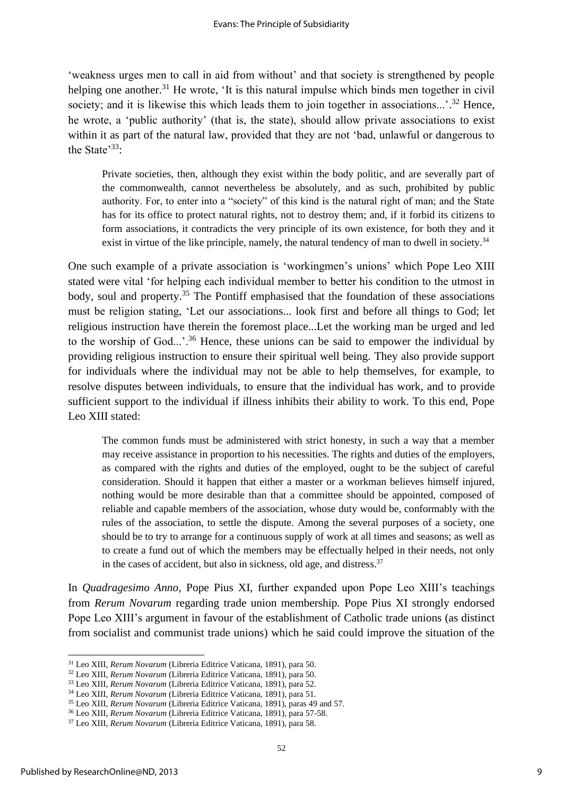'weakness urges men to call in aid from without' and that society is strengthened by people helping one another.<sup>31</sup> He wrote, 'It is this natural impulse which binds men together in civil society; and it is likewise this which leads them to join together in associations...'.<sup>32</sup> Hence, he wrote, a 'public authority' (that is, the state), should allow private associations to exist within it as part of the natural law, provided that they are not 'bad, unlawful or dangerous to the State<sup>33</sup>:

Private societies, then, although they exist within the body politic, and are severally part of the commonwealth, cannot nevertheless be absolutely, and as such, prohibited by public authority. For, to enter into a "society" of this kind is the natural right of man; and the State has for its office to protect natural rights, not to destroy them; and, if it forbid its citizens to form associations, it contradicts the very principle of its own existence, for both they and it exist in virtue of the like principle, namely, the natural tendency of man to dwell in society.<sup>34</sup>

One such example of a private association is 'workingmen's unions' which Pope Leo XIII stated were vital 'for helping each individual member to better his condition to the utmost in body, soul and property.<sup>35</sup> The Pontiff emphasised that the foundation of these associations must be religion stating, 'Let our associations... look first and before all things to God; let religious instruction have therein the foremost place...Let the working man be urged and led to the worship of God...'.<sup>36</sup> Hence, these unions can be said to empower the individual by providing religious instruction to ensure their spiritual well being. They also provide support for individuals where the individual may not be able to help themselves, for example, to resolve disputes between individuals, to ensure that the individual has work, and to provide sufficient support to the individual if illness inhibits their ability to work. To this end, Pope Leo XIII stated:

The common funds must be administered with strict honesty, in such a way that a member may receive assistance in proportion to his necessities. The rights and duties of the employers, as compared with the rights and duties of the employed, ought to be the subject of careful consideration. Should it happen that either a master or a workman believes himself injured, nothing would be more desirable than that a committee should be appointed, composed of reliable and capable members of the association, whose duty would be, conformably with the rules of the association, to settle the dispute. Among the several purposes of a society, one should be to try to arrange for a continuous supply of work at all times and seasons; as well as to create a fund out of which the members may be effectually helped in their needs, not only in the cases of accident, but also in sickness, old age, and distress.<sup>37</sup>

In *Quadragesimo Anno*, Pope Pius XI, further expanded upon Pope Leo XIII's teachings from *Rerum Novarum* regarding trade union membership*.* Pope Pius XI strongly endorsed Pope Leo XIII's argument in favour of the establishment of Catholic trade unions (as distinct from socialist and communist trade unions) which he said could improve the situation of the

<sup>31</sup> Leo XIII, *Rerum Novarum* (Libreria Editrice Vaticana, 1891), para 50.

<sup>32</sup> Leo XIII, *Rerum Novarum* (Libreria Editrice Vaticana, 1891), para 50.

<sup>33</sup> Leo XIII, *Rerum Novarum* (Libreria Editrice Vaticana, 1891), para 52.

<sup>34</sup> Leo XIII, *Rerum Novarum* (Libreria Editrice Vaticana, 1891), para 51.

<sup>35</sup> Leo XIII, *Rerum Novarum* (Libreria Editrice Vaticana, 1891), paras 49 and 57.

<sup>36</sup> Leo XIII, *Rerum Novarum* (Libreria Editrice Vaticana, 1891), para 57-58.

<sup>37</sup> Leo XIII, *Rerum Novarum* (Libreria Editrice Vaticana, 1891), para 58.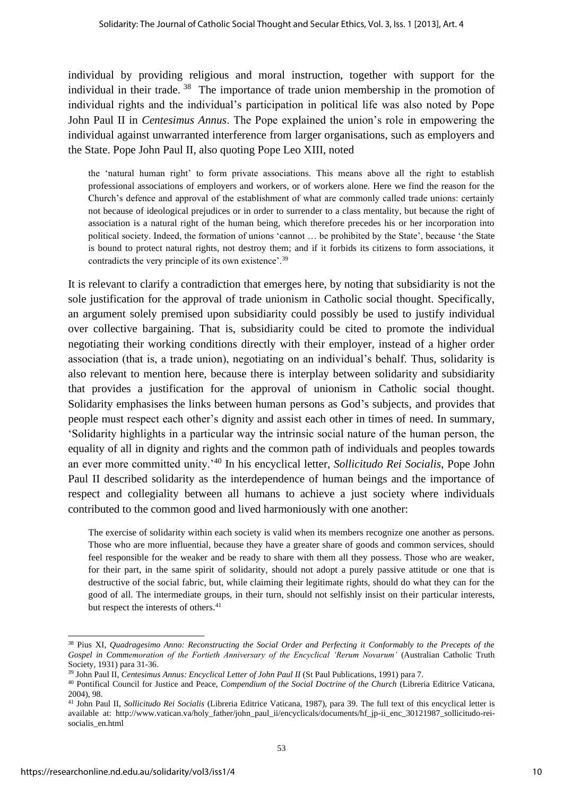individual by providing religious and moral instruction, together with support for the individual in their trade.<sup>38</sup> The importance of trade union membership in the promotion of individual rights and the individual's participation in political life was also noted by Pope John Paul II in *Centesimus Annus*. The Pope explained the union's role in empowering the individual against unwarranted interference from larger organisations, such as employers and the State. Pope John Paul II, also quoting Pope Leo XIII, noted

the 'natural human right' to form private associations. This means above all the right to establish professional associations of employers and workers, or of workers alone. Here we find the reason for the Church's defence and approval of the establishment of what are commonly called trade unions: certainly not because of ideological prejudices or in order to surrender to a class mentality, but because the right of association is a natural right of the human being, which therefore precedes his or her incorporation into political society. Indeed, the formation of unions 'cannot … be prohibited by the State', because 'the State is bound to protect natural rights, not destroy them; and if it forbids its citizens to form associations, it contradicts the very principle of its own existence'.<sup>39</sup>

It is relevant to clarify a contradiction that emerges here, by noting that subsidiarity is not the sole justification for the approval of trade unionism in Catholic social thought. Specifically, an argument solely premised upon subsidiarity could possibly be used to justify individual over collective bargaining. That is, subsidiarity could be cited to promote the individual negotiating their working conditions directly with their employer, instead of a higher order association (that is, a trade union), negotiating on an individual's behalf. Thus, solidarity is also relevant to mention here, because there is interplay between solidarity and subsidiarity that provides a justification for the approval of unionism in Catholic social thought. Solidarity emphasises the links between human persons as God's subjects, and provides that people must respect each other's dignity and assist each other in times of need. In summary, 'Solidarity highlights in a particular way the intrinsic social nature of the human person, the equality of all in dignity and rights and the common path of individuals and peoples towards an ever more committed unity.'<sup>40</sup> In his encyclical letter, *Sollicitudo Rei Socialis*, Pope John Paul II described solidarity as the interdependence of human beings and the importance of respect and collegiality between all humans to achieve a just society where individuals contributed to the common good and lived harmoniously with one another:

The exercise of solidarity within each society is valid when its members recognize one another as persons. Those who are more influential, because they have a greater share of goods and common services, should feel responsible for the weaker and be ready to share with them all they possess. Those who are weaker, for their part, in the same spirit of solidarity, should not adopt a purely passive attitude or one that is destructive of the social fabric, but, while claiming their legitimate rights, should do what they can for the good of all. The intermediate groups, in their turn, should not selfishly insist on their particular interests, but respect the interests of others.<sup>41</sup>

<sup>38</sup> Pius XI, *Quadragesimo Anno: Reconstructing the Social Order and Perfecting it Conformably to the Precepts of the Gospel in Commemoration of the Fortieth Anniversary of the Encyclical 'Rerum Novarum'* (Australian Catholic Truth Society, 1931) para 31-36.

<sup>39</sup> John Paul II, *Centesimus Annus: Encyclical Letter of John Paul II* (St Paul Publications, 1991) para 7.

<sup>40</sup> Pontifical Council for Justice and Peace, *Compendium of the Social Doctrine of the Church* (Libreria Editrice Vaticana, 2004), 98.

<sup>41</sup> John Paul II, *Sollicitudo Rei Socialis* (Libreria Editrice Vaticana, 1987), para 39. The full text of this encyclical letter is available at: http://www.vatican.va/holy\_father/john\_paul\_ii/encyclicals/documents/hf\_jp-ii\_enc\_30121987\_sollicitudo-reisocialis\_en.html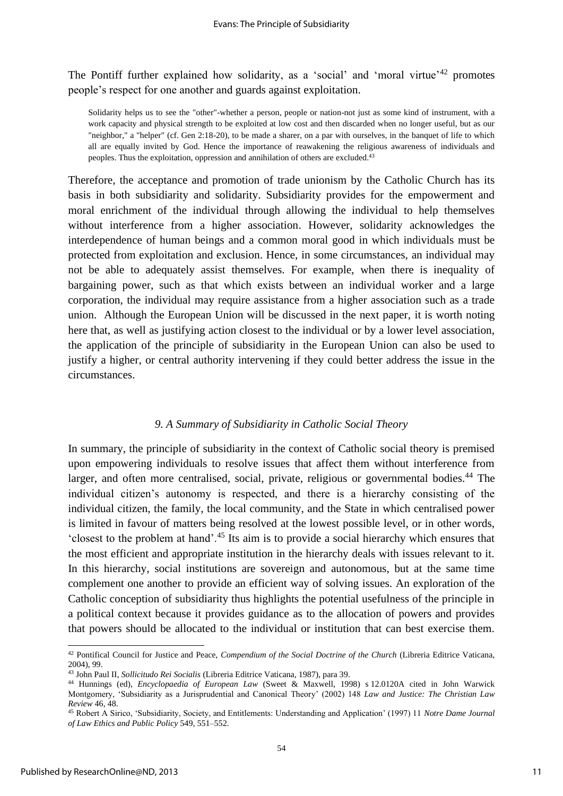The Pontiff further explained how solidarity, as a 'social' and 'moral virtue'<sup>42</sup> promotes people's respect for one another and guards against exploitation.

Solidarity helps us to see the "other"-whether a person, people or nation-not just as some kind of instrument, with a work capacity and physical strength to be exploited at low cost and then discarded when no longer useful, but as our "neighbor," a "helper" (cf. Gen 2:18-20), to be made a sharer, on a par with ourselves, in the banquet of life to which all are equally invited by God. Hence the importance of reawakening the religious awareness of individuals and peoples. Thus the exploitation, oppression and annihilation of others are excluded.<sup>43</sup>

Therefore, the acceptance and promotion of trade unionism by the Catholic Church has its basis in both subsidiarity and solidarity. Subsidiarity provides for the empowerment and moral enrichment of the individual through allowing the individual to help themselves without interference from a higher association. However, solidarity acknowledges the interdependence of human beings and a common moral good in which individuals must be protected from exploitation and exclusion. Hence, in some circumstances, an individual may not be able to adequately assist themselves. For example, when there is inequality of bargaining power, such as that which exists between an individual worker and a large corporation, the individual may require assistance from a higher association such as a trade union. Although the European Union will be discussed in the next paper, it is worth noting here that, as well as justifying action closest to the individual or by a lower level association, the application of the principle of subsidiarity in the European Union can also be used to justify a higher, or central authority intervening if they could better address the issue in the circumstances.

### *9. A Summary of Subsidiarity in Catholic Social Theory*

In summary, the principle of subsidiarity in the context of Catholic social theory is premised upon empowering individuals to resolve issues that affect them without interference from larger, and often more centralised, social, private, religious or governmental bodies.<sup>44</sup> The individual citizen's autonomy is respected, and there is a hierarchy consisting of the individual citizen, the family, the local community, and the State in which centralised power is limited in favour of matters being resolved at the lowest possible level, or in other words, 'closest to the problem at hand'.<sup>45</sup> Its aim is to provide a social hierarchy which ensures that the most efficient and appropriate institution in the hierarchy deals with issues relevant to it. In this hierarchy, social institutions are sovereign and autonomous, but at the same time complement one another to provide an efficient way of solving issues. An exploration of the Catholic conception of subsidiarity thus highlights the potential usefulness of the principle in a political context because it provides guidance as to the allocation of powers and provides that powers should be allocated to the individual or institution that can best exercise them.

<sup>42</sup> Pontifical Council for Justice and Peace, *Compendium of the Social Doctrine of the Church* (Libreria Editrice Vaticana, 2004), 99.

<sup>43</sup> John Paul II, *Sollicitudo Rei Socialis* (Libreria Editrice Vaticana, 1987), para 39.

<sup>44</sup> Hunnings (ed), *Encyclopaedia of European Law* (Sweet & Maxwell, 1998) s 12.0120A cited in John Warwick Montgomery, 'Subsidiarity as a Jurisprudential and Canonical Theory' (2002) 148 *Law and Justice: The Christian Law Review* 46, 48.

<sup>45</sup> Robert A Sirico, 'Subsidiarity, Society, and Entitlements: Understanding and Application' (1997) 11 *Notre Dame Journal of Law Ethics and Public Policy* 549, 551–552.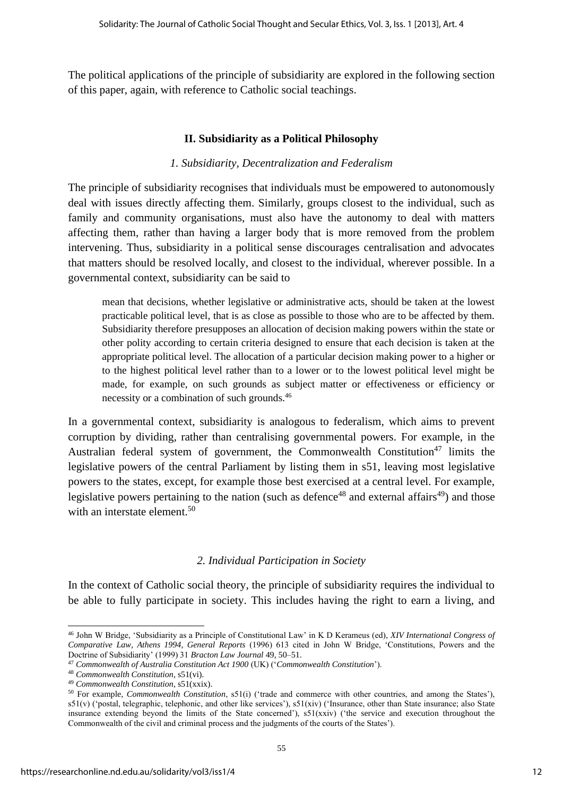The political applications of the principle of subsidiarity are explored in the following section of this paper, again, with reference to Catholic social teachings.

## **II. Subsidiarity as a Political Philosophy**

## *1. Subsidiarity, Decentralization and Federalism*

The principle of subsidiarity recognises that individuals must be empowered to autonomously deal with issues directly affecting them. Similarly, groups closest to the individual, such as family and community organisations, must also have the autonomy to deal with matters affecting them, rather than having a larger body that is more removed from the problem intervening. Thus, subsidiarity in a political sense discourages centralisation and advocates that matters should be resolved locally, and closest to the individual, wherever possible. In a governmental context, subsidiarity can be said to

mean that decisions, whether legislative or administrative acts, should be taken at the lowest practicable political level, that is as close as possible to those who are to be affected by them. Subsidiarity therefore presupposes an allocation of decision making powers within the state or other polity according to certain criteria designed to ensure that each decision is taken at the appropriate political level. The allocation of a particular decision making power to a higher or to the highest political level rather than to a lower or to the lowest political level might be made, for example, on such grounds as subject matter or effectiveness or efficiency or necessity or a combination of such grounds.<sup>46</sup>

In a governmental context, subsidiarity is analogous to federalism, which aims to prevent corruption by dividing, rather than centralising governmental powers. For example, in the Australian federal system of government, the Commonwealth Constitution<sup>47</sup> limits the legislative powers of the central Parliament by listing them in s51, leaving most legislative powers to the states, except, for example those best exercised at a central level. For example, legislative powers pertaining to the nation (such as defence<sup>48</sup> and external affairs<sup>49</sup>) and those with an interstate element.<sup>50</sup>

## *2. Individual Participation in Society*

In the context of Catholic social theory, the principle of subsidiarity requires the individual to be able to fully participate in society. This includes having the right to earn a living, and

<sup>46</sup> John W Bridge, 'Subsidiarity as a Principle of Constitutional Law' in K D Kerameus (ed), *XIV International Congress of Comparative Law, Athens 1994, General Reports* (1996) 613 cited in John W Bridge, 'Constitutions, Powers and the Doctrine of Subsidiarity' (1999) 31 *Bracton Law Journal* 49, 50–51.

<sup>47</sup> *Commonwealth of Australia Constitution Act 1900* (UK) ('*Commonwealth Constitution*').

<sup>48</sup> *Commonwealth Constitution*, s51(vi).

<sup>49</sup> *Commonwealth Constitution*, s51(xxix).

<sup>50</sup> For example, *Commonwealth Constitution*, s51(i) ('trade and commerce with other countries, and among the States'),  $s51(v)$  ('postal, telegraphic, telephonic, and other like services'),  $s51(xiv)$  ('Insurance, other than State insurance; also State insurance extending beyond the limits of the State concerned'), s51(xxiv) ('the service and execution throughout the Commonwealth of the civil and criminal process and the judgments of the courts of the States').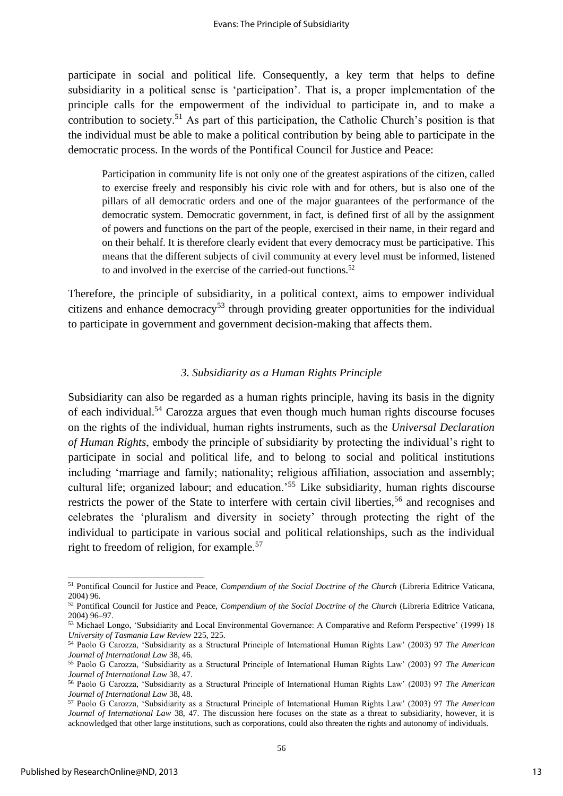participate in social and political life. Consequently, a key term that helps to define subsidiarity in a political sense is 'participation'. That is, a proper implementation of the principle calls for the empowerment of the individual to participate in, and to make a contribution to society.<sup>51</sup> As part of this participation, the Catholic Church's position is that the individual must be able to make a political contribution by being able to participate in the democratic process. In the words of the Pontifical Council for Justice and Peace:

Participation in community life is not only one of the greatest aspirations of the citizen, called to exercise freely and responsibly his civic role with and for others, but is also one of the pillars of all democratic orders and one of the major guarantees of the performance of the democratic system. Democratic government, in fact, is defined first of all by the assignment of powers and functions on the part of the people, exercised in their name, in their regard and on their behalf. It is therefore clearly evident that every democracy must be participative. This means that the different subjects of civil community at every level must be informed, listened to and involved in the exercise of the carried-out functions.<sup>52</sup>

Therefore, the principle of subsidiarity, in a political context, aims to empower individual citizens and enhance democracy<sup>53</sup> through providing greater opportunities for the individual to participate in government and government decision-making that affects them.

#### *3. Subsidiarity as a Human Rights Principle*

Subsidiarity can also be regarded as a human rights principle, having its basis in the dignity of each individual.<sup>54</sup> Carozza argues that even though much human rights discourse focuses on the rights of the individual, human rights instruments, such as the *Universal Declaration of Human Rights*, embody the principle of subsidiarity by protecting the individual's right to participate in social and political life, and to belong to social and political institutions including 'marriage and family; nationality; religious affiliation, association and assembly; cultural life; organized labour; and education.<sup>55</sup> Like subsidiarity, human rights discourse restricts the power of the State to interfere with certain civil liberties,<sup>56</sup> and recognises and celebrates the 'pluralism and diversity in society' through protecting the right of the individual to participate in various social and political relationships, such as the individual right to freedom of religion, for example.<sup>57</sup>

<sup>51</sup> Pontifical Council for Justice and Peace, *Compendium of the Social Doctrine of the Church* (Libreria Editrice Vaticana, 2004) 96.

<sup>52</sup> Pontifical Council for Justice and Peace, *Compendium of the Social Doctrine of the Church* (Libreria Editrice Vaticana, 2004) 96–97.

<sup>53</sup> Michael Longo, 'Subsidiarity and Local Environmental Governance: A Comparative and Reform Perspective' (1999) 18 *University of Tasmania Law Review* 225, 225.

<sup>54</sup> Paolo G Carozza, 'Subsidiarity as a Structural Principle of International Human Rights Law' (2003) 97 *The American Journal of International Law* 38, 46.

<sup>55</sup> Paolo G Carozza, 'Subsidiarity as a Structural Principle of International Human Rights Law' (2003) 97 *The American Journal of International Law* 38, 47.

<sup>56</sup> Paolo G Carozza, 'Subsidiarity as a Structural Principle of International Human Rights Law' (2003) 97 *The American Journal of International Law* 38, 48.

<sup>57</sup> Paolo G Carozza, 'Subsidiarity as a Structural Principle of International Human Rights Law' (2003) 97 *The American Journal of International Law* 38, 47. The discussion here focuses on the state as a threat to subsidiarity, however, it is acknowledged that other large institutions, such as corporations, could also threaten the rights and autonomy of individuals.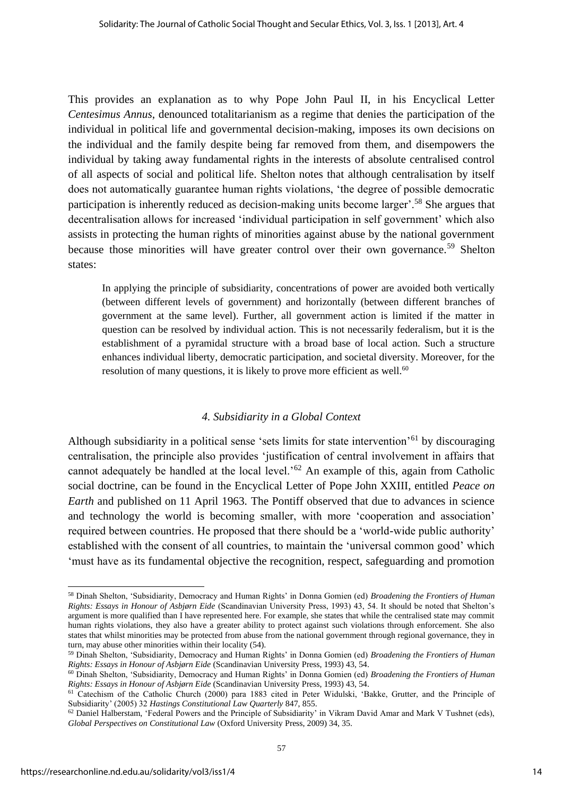This provides an explanation as to why Pope John Paul II, in his Encyclical Letter *Centesimus Annus*, denounced totalitarianism as a regime that denies the participation of the individual in political life and governmental decision-making, imposes its own decisions on the individual and the family despite being far removed from them, and disempowers the individual by taking away fundamental rights in the interests of absolute centralised control of all aspects of social and political life. Shelton notes that although centralisation by itself does not automatically guarantee human rights violations, 'the degree of possible democratic participation is inherently reduced as decision-making units become larger'.<sup>58</sup> She argues that decentralisation allows for increased 'individual participation in self government' which also assists in protecting the human rights of minorities against abuse by the national government because those minorities will have greater control over their own governance.<sup>59</sup> Shelton states:

In applying the principle of subsidiarity, concentrations of power are avoided both vertically (between different levels of government) and horizontally (between different branches of government at the same level). Further, all government action is limited if the matter in question can be resolved by individual action. This is not necessarily federalism, but it is the establishment of a pyramidal structure with a broad base of local action. Such a structure enhances individual liberty, democratic participation, and societal diversity. Moreover, for the resolution of many questions, it is likely to prove more efficient as well.<sup>60</sup>

#### *4. Subsidiarity in a Global Context*

Although subsidiarity in a political sense 'sets limits for state intervention'<sup>61</sup> by discouraging centralisation, the principle also provides 'justification of central involvement in affairs that cannot adequately be handled at the local level.<sup> $52$ </sup> An example of this, again from Catholic social doctrine, can be found in the Encyclical Letter of Pope John XXIII, entitled *Peace on Earth* and published on 11 April 1963*.* The Pontiff observed that due to advances in science and technology the world is becoming smaller, with more 'cooperation and association' required between countries. He proposed that there should be a 'world-wide public authority' established with the consent of all countries, to maintain the 'universal common good' which 'must have as its fundamental objective the recognition, respect, safeguarding and promotion

<sup>58</sup> Dinah Shelton, 'Subsidiarity, Democracy and Human Rights' in Donna Gomien (ed) *Broadening the Frontiers of Human Rights: Essays in Honour of Asbjørn Eide* (Scandinavian University Press, 1993) 43, 54. It should be noted that Shelton's argument is more qualified than I have represented here. For example, she states that while the centralised state may commit human rights violations, they also have a greater ability to protect against such violations through enforcement. She also states that whilst minorities may be protected from abuse from the national government through regional governance, they in turn, may abuse other minorities within their locality (54).

<sup>59</sup> Dinah Shelton, 'Subsidiarity, Democracy and Human Rights' in Donna Gomien (ed) *Broadening the Frontiers of Human Rights: Essays in Honour of Asbjørn Eide* (Scandinavian University Press, 1993) 43, 54.

<sup>60</sup> Dinah Shelton, 'Subsidiarity, Democracy and Human Rights' in Donna Gomien (ed) *Broadening the Frontiers of Human Rights: Essays in Honour of Asbjørn Eide* (Scandinavian University Press, 1993) 43, 54.

<sup>61</sup> Catechism of the Catholic Church (2000) para 1883 cited in Peter Widulski, 'Bakke, Grutter, and the Principle of Subsidiarity' (2005) 32 *Hastings Constitutional Law Quarterly* 847, 855.

 $62$  Daniel Halberstam, 'Federal Powers and the Principle of Subsidiarity' in Vikram David Amar and Mark V Tushnet (eds), *Global Perspectives on Constitutional Law* (Oxford University Press, 2009) 34, 35.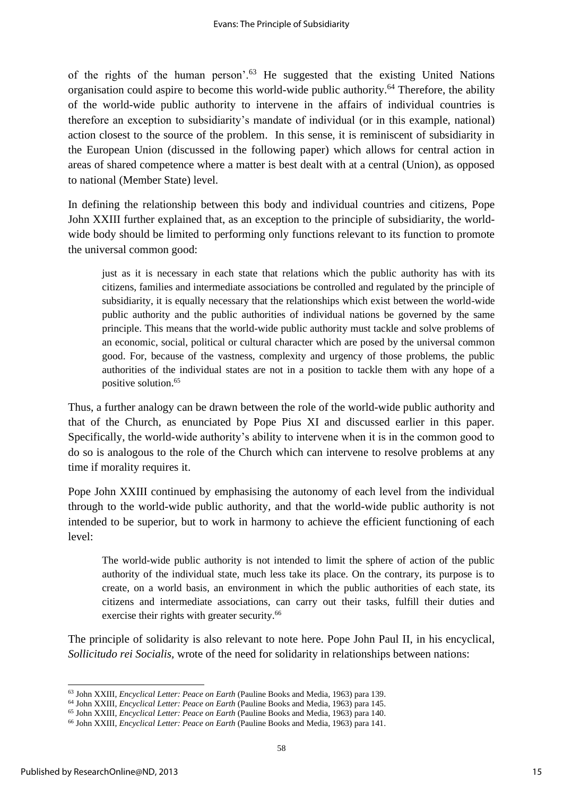of the rights of the human person'.<sup>63</sup> He suggested that the existing United Nations organisation could aspire to become this world-wide public authority.<sup>64</sup> Therefore, the ability of the world-wide public authority to intervene in the affairs of individual countries is therefore an exception to subsidiarity's mandate of individual (or in this example, national) action closest to the source of the problem. In this sense, it is reminiscent of subsidiarity in the European Union (discussed in the following paper) which allows for central action in areas of shared competence where a matter is best dealt with at a central (Union), as opposed to national (Member State) level.

In defining the relationship between this body and individual countries and citizens, Pope John XXIII further explained that, as an exception to the principle of subsidiarity, the worldwide body should be limited to performing only functions relevant to its function to promote the universal common good:

just as it is necessary in each state that relations which the public authority has with its citizens, families and intermediate associations be controlled and regulated by the principle of subsidiarity, it is equally necessary that the relationships which exist between the world-wide public authority and the public authorities of individual nations be governed by the same principle. This means that the world-wide public authority must tackle and solve problems of an economic, social, political or cultural character which are posed by the universal common good. For, because of the vastness, complexity and urgency of those problems, the public authorities of the individual states are not in a position to tackle them with any hope of a positive solution.<sup>65</sup>

Thus, a further analogy can be drawn between the role of the world-wide public authority and that of the Church, as enunciated by Pope Pius XI and discussed earlier in this paper. Specifically, the world-wide authority's ability to intervene when it is in the common good to do so is analogous to the role of the Church which can intervene to resolve problems at any time if morality requires it.

Pope John XXIII continued by emphasising the autonomy of each level from the individual through to the world-wide public authority, and that the world-wide public authority is not intended to be superior, but to work in harmony to achieve the efficient functioning of each level:

The world-wide public authority is not intended to limit the sphere of action of the public authority of the individual state, much less take its place. On the contrary, its purpose is to create, on a world basis, an environment in which the public authorities of each state, its citizens and intermediate associations, can carry out their tasks, fulfill their duties and exercise their rights with greater security.<sup>66</sup>

The principle of solidarity is also relevant to note here. Pope John Paul II, in his encyclical, *Sollicitudo rei Socialis,* wrote of the need for solidarity in relationships between nations:

<sup>63</sup> John XXIII, *Encyclical Letter: Peace on Earth* (Pauline Books and Media, 1963) para 139.

<sup>64</sup> John XXIII, *Encyclical Letter: Peace on Earth* (Pauline Books and Media, 1963) para 145.

<sup>65</sup> John XXIII, *Encyclical Letter: Peace on Earth* (Pauline Books and Media, 1963) para 140.

<sup>66</sup> John XXIII, *Encyclical Letter: Peace on Earth* (Pauline Books and Media, 1963) para 141.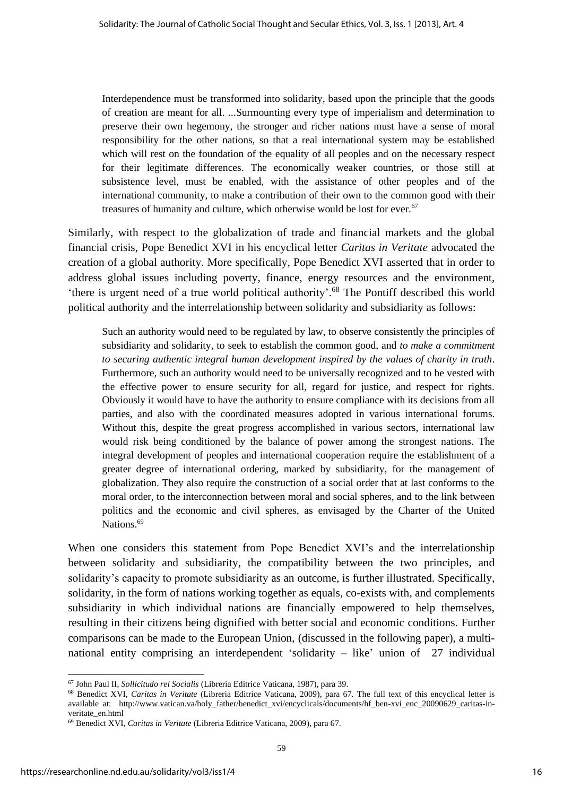Interdependence must be transformed into solidarity, based upon the principle that the goods of creation are meant for all. ...Surmounting every type of imperialism and determination to preserve their own hegemony, the stronger and richer nations must have a sense of moral responsibility for the other nations, so that a real international system may be established which will rest on the foundation of the equality of all peoples and on the necessary respect for their legitimate differences. The economically weaker countries, or those still at subsistence level, must be enabled, with the assistance of other peoples and of the international community, to make a contribution of their own to the common good with their treasures of humanity and culture, which otherwise would be lost for ever.<sup>67</sup>

Similarly, with respect to the globalization of trade and financial markets and the global financial crisis, Pope Benedict XVI in his encyclical letter *Caritas in Veritate* advocated the creation of a global authority. More specifically, Pope Benedict XVI asserted that in order to address global issues including poverty, finance, energy resources and the environment, 'there is urgent need of a true world political authority'. <sup>68</sup> The Pontiff described this world political authority and the interrelationship between solidarity and subsidiarity as follows:

Such an authority would need to be regulated by law, to observe consistently the principles of subsidiarity and solidarity, to seek to establish the common good, and *to make a commitment to securing authentic integral human development inspired by the values of charity in truth*. Furthermore, such an authority would need to be universally recognized and to be vested with the effective power to ensure security for all, regard for justice, and respect for rights. Obviously it would have to have the authority to ensure compliance with its decisions from all parties, and also with the coordinated measures adopted in various international forums. Without this, despite the great progress accomplished in various sectors, international law would risk being conditioned by the balance of power among the strongest nations. The integral development of peoples and international cooperation require the establishment of a greater degree of international ordering, marked by subsidiarity, for the management of globalization. They also require the construction of a social order that at last conforms to the moral order, to the interconnection between moral and social spheres, and to the link between politics and the economic and civil spheres, as envisaged by the Charter of the United Nations.<sup>69</sup>

When one considers this statement from Pope Benedict XVI's and the interrelationship between solidarity and subsidiarity, the compatibility between the two principles, and solidarity's capacity to promote subsidiarity as an outcome, is further illustrated. Specifically, solidarity, in the form of nations working together as equals, co-exists with, and complements subsidiarity in which individual nations are financially empowered to help themselves, resulting in their citizens being dignified with better social and economic conditions. Further comparisons can be made to the European Union, (discussed in the following paper), a multinational entity comprising an interdependent 'solidarity – like' union of 27 individual

<sup>68</sup> Benedict XVI, *Caritas in Veritate* (Libreria Editrice Vaticana, 2009), para 67. The full text of this encyclical letter is available at: http://www.vatican.va/holy\_father/benedict\_xvi/encyclicals/documents/hf\_ben-xvi\_enc\_20090629\_caritas-inveritate\_en.html

<sup>67</sup> John Paul II, *Sollicitudo rei Socialis* (Libreria Editrice Vaticana, 1987), para 39.

<sup>69</sup> Benedict XVI, *Caritas in Veritate* (Libreria Editrice Vaticana, 2009), para 67.